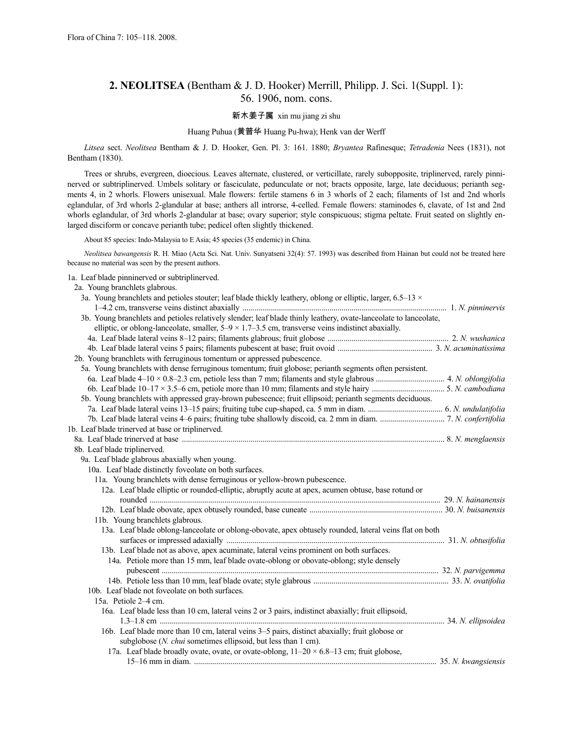# **2. NEOLITSEA** (Bentham & J. D. Hooker) Merrill, Philipp. J. Sci. 1(Suppl. 1): 56. 1906, nom. cons.

### 新木姜子属 xin mu jiang zi shu

### Huang Puhua (黄普华 Huang Pu-hwa); Henk van der Werff

*Litsea* sect. *Neolitsea* Bentham & J. D. Hooker, Gen. Pl. 3: 161. 1880; *Bryantea* Rafinesque; *Tetradenia* Nees (1831), not Bentham (1830).

Trees or shrubs, evergreen, dioecious. Leaves alternate, clustered, or verticillate, rarely subopposite, triplinerved, rarely pinninerved or subtriplinerved. Umbels solitary or fasciculate, pedunculate or not; bracts opposite, large, late deciduous; perianth segments 4, in 2 whorls. Flowers unisexual. Male flowers: fertile stamens 6 in 3 whorls of 2 each; filaments of 1st and 2nd whorls eglandular, of 3rd whorls 2-glandular at base; anthers all introrse, 4-celled. Female flowers: staminodes 6, clavate, of 1st and 2nd whorls eglandular, of 3rd whorls 2-glandular at base; ovary superior; style conspicuous; stigma peltate. Fruit seated on slightly enlarged disciform or concave perianth tube; pedicel often slightly thickened.

About 85 species: Indo-Malaysia to E Asia; 45 species (35 endemic) in China.

*Neolitsea bawangensis* R. H. Miao (Acta Sci. Nat. Univ. Sunyatseni 32(4): 57. 1993) was described from Hainan but could not be treated here because no material was seen by the present authors.

1a. Leaf blade pinninerved or subtriplinerved.

| 2a. Young branchlets glabrous.                                                                                      |  |
|---------------------------------------------------------------------------------------------------------------------|--|
| 3a. Young branchlets and petioles stouter; leaf blade thickly leathery, oblong or elliptic, larger, 6.5–13 $\times$ |  |
|                                                                                                                     |  |
| 3b. Young branchlets and petioles relatively slender; leaf blade thinly leathery, ovate-lanceolate to lanceolate,   |  |
| elliptic, or oblong-lanceolate, smaller, $5-9 \times 1.7-3.5$ cm, transverse veins indistinct abaxially.            |  |
|                                                                                                                     |  |
|                                                                                                                     |  |
| 2b. Young branchlets with ferruginous tomentum or appressed pubescence.                                             |  |
| 5a. Young branchlets with dense ferruginous tomentum; fruit globose; perianth segments often persistent.            |  |
|                                                                                                                     |  |
|                                                                                                                     |  |
| 5b. Young branchlets with appressed gray-brown pubescence; fruit ellipsoid; perianth segments deciduous.            |  |
|                                                                                                                     |  |
|                                                                                                                     |  |
| 1b. Leaf blade trinerved at base or triplinerved.                                                                   |  |
|                                                                                                                     |  |
| 8b. Leaf blade triplinerved.                                                                                        |  |
| 9a. Leaf blade glabrous abaxially when young.                                                                       |  |
| 10a. Leaf blade distinctly foveolate on both surfaces.                                                              |  |
| 11a. Young branchlets with dense ferruginous or yellow-brown pubescence.                                            |  |
| 12a. Leaf blade elliptic or rounded-elliptic, abruptly acute at apex, acumen obtuse, base rotund or                 |  |
|                                                                                                                     |  |
|                                                                                                                     |  |
| 11b. Young branchlets glabrous.                                                                                     |  |
| 13a. Leaf blade oblong-lanceolate or oblong-obovate, apex obtusely rounded, lateral veins flat on both              |  |
|                                                                                                                     |  |
| 13b. Leaf blade not as above, apex acuminate, lateral veins prominent on both surfaces.                             |  |
| 14a. Petiole more than 15 mm, leaf blade ovate-oblong or obovate-oblong; style densely                              |  |
|                                                                                                                     |  |
|                                                                                                                     |  |
| 10b. Leaf blade not foveolate on both surfaces.                                                                     |  |
| 15a. Petiole 2-4 cm.                                                                                                |  |
| 16a. Leaf blade less than 10 cm, lateral veins 2 or 3 pairs, indistinct abaxially; fruit ellipsoid,                 |  |
|                                                                                                                     |  |
| 16b. Leaf blade more than 10 cm, lateral veins 3–5 pairs, distinct abaxially; fruit globose or                      |  |
| subglobose (N. chui sometimes ellipsoid, but less than 1 cm).                                                       |  |
| 17a. Leaf blade broadly ovate, ovate, or ovate-oblong, $11-20 \times 6.8-13$ cm; fruit globose,                     |  |
|                                                                                                                     |  |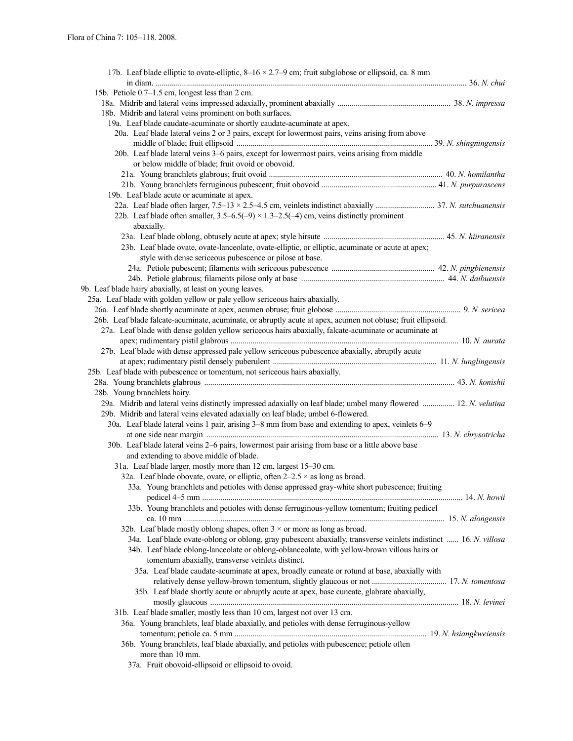| 17b. Leaf blade elliptic to ovate-elliptic, $8-16 \times 2.7-9$ cm; fruit subglobose or ellipsoid, ca. 8 mm      |  |
|------------------------------------------------------------------------------------------------------------------|--|
|                                                                                                                  |  |
| 15b. Petiole 0.7–1.5 cm, longest less than 2 cm.                                                                 |  |
| 18b. Midrib and lateral veins prominent on both surfaces.                                                        |  |
| 19a. Leaf blade caudate-acuminate or shortly caudate-acuminate at apex.                                          |  |
| 20a. Leaf blade lateral veins 2 or 3 pairs, except for lowermost pairs, veins arising from above                 |  |
|                                                                                                                  |  |
| 20b. Leaf blade lateral veins 3-6 pairs, except for lowermost pairs, veins arising from middle                   |  |
| or below middle of blade; fruit ovoid or obovoid.                                                                |  |
|                                                                                                                  |  |
|                                                                                                                  |  |
| 19b. Leaf blade acute or acuminate at apex.                                                                      |  |
|                                                                                                                  |  |
| 22b. Leaf blade often smaller, $3.5-6.5(-9) \times 1.3-2.5(-4)$ cm, veins distinctly prominent                   |  |
| abaxially.                                                                                                       |  |
|                                                                                                                  |  |
| 23b. Leaf blade ovate, ovate-lanceolate, ovate-elliptic, or elliptic, acuminate or acute at apex;                |  |
| style with dense sericeous pubescence or pilose at base.                                                         |  |
|                                                                                                                  |  |
|                                                                                                                  |  |
| 9b. Leaf blade hairy abaxially, at least on young leaves.                                                        |  |
| 25a. Leaf blade with golden yellow or pale yellow sericeous hairs abaxially.                                     |  |
|                                                                                                                  |  |
| 26b. Leaf blade falcate-acuminate, acuminate, or abruptly acute at apex, acumen not obtuse; fruit ellipsoid.     |  |
| 27a. Leaf blade with dense golden yellow sericeous hairs abaxially, falcate-acuminate or acuminate at            |  |
|                                                                                                                  |  |
| 27b. Leaf blade with dense appressed pale yellow sericeous pubescence abaxially, abruptly acute                  |  |
|                                                                                                                  |  |
| 25b. Leaf blade with pubescence or tomentum, not sericeous hairs abaxially.                                      |  |
|                                                                                                                  |  |
| 28b. Young branchlets hairy.                                                                                     |  |
| 29a. Midrib and lateral veins distinctly impressed adaxially on leaf blade; umbel many flowered  12. N. velutina |  |
| 29b. Midrib and lateral veins elevated adaxially on leaf blade; umbel 6-flowered.                                |  |
| 30a. Leaf blade lateral veins 1 pair, arising 3–8 mm from base and extending to apex, veinlets 6–9               |  |
|                                                                                                                  |  |
| 30b. Leaf blade lateral veins 2–6 pairs, lowermost pair arising from base or a little above base                 |  |
| and extending to above middle of blade.                                                                          |  |
| 31a. Leaf blade larger, mostly more than 12 cm, largest 15-30 cm.                                                |  |
| 32a. Leaf blade obovate, ovate, or elliptic, often $2-2.5 \times$ as long as broad.                              |  |
| 33a. Young branchlets and petioles with dense appressed gray-white short pubescence; fruiting                    |  |
|                                                                                                                  |  |
| 33b. Young branchlets and petioles with dense ferruginous-yellow tomentum; fruiting pedicel                      |  |
|                                                                                                                  |  |
| 32b. Leaf blade mostly oblong shapes, often $3 \times$ or more as long as broad.                                 |  |
| 34a. Leaf blade ovate-oblong or oblong, gray pubescent abaxially, transverse veinlets indistinct  16. N. villosa |  |
| 34b. Leaf blade oblong-lanceolate or oblong-oblanceolate, with yellow-brown villous hairs or                     |  |
| tomentum abaxially, transverse veinlets distinct.                                                                |  |
| 35a. Leaf blade caudate-acuminate at apex, broadly cuneate or rotund at base, abaxially with                     |  |
|                                                                                                                  |  |
| 35b. Leaf blade shortly acute or abruptly acute at apex, base cuneate, glabrate abaxially,                       |  |
|                                                                                                                  |  |
| 31b. Leaf blade smaller, mostly less than 10 cm, largest not over 13 cm.                                         |  |
| 36a. Young branchlets, leaf blade abaxially, and petioles with dense ferruginous-yellow                          |  |
|                                                                                                                  |  |
| 36b. Young branchlets, leaf blade abaxially, and petioles with pubescence; petiole often                         |  |
| more than 10 mm.                                                                                                 |  |
| 37a. Fruit obovoid-ellipsoid or ellipsoid to ovoid.                                                              |  |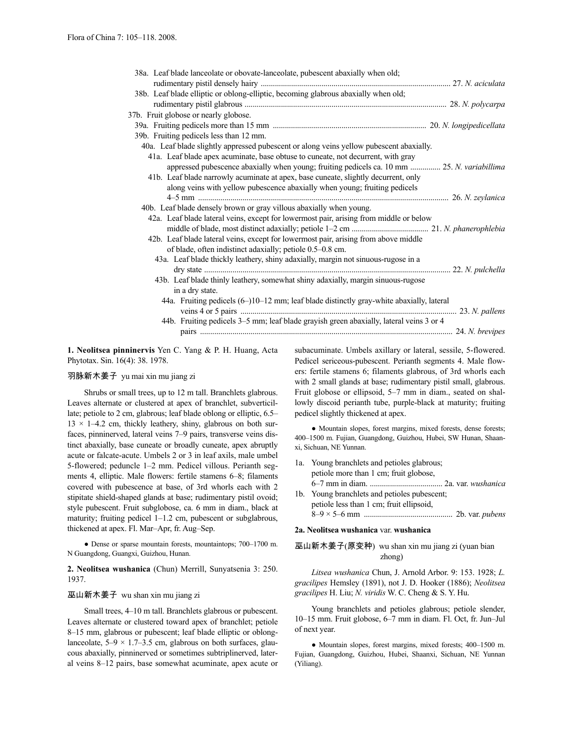| 38a. Leaf blade lanceolate or obovate-lanceolate, pubescent abaxially when old;                     |  |
|-----------------------------------------------------------------------------------------------------|--|
|                                                                                                     |  |
| 38b. Leaf blade elliptic or oblong-elliptic, becoming glabrous abaxially when old;                  |  |
|                                                                                                     |  |
| 37b. Fruit globose or nearly globose.                                                               |  |
|                                                                                                     |  |
| 39b. Fruiting pedicels less than 12 mm.                                                             |  |
| 40a. Leaf blade slightly appressed pubescent or along veins yellow pubescent abaxially.             |  |
| 41a. Leaf blade apex acuminate, base obtuse to cuneate, not decurrent, with gray                    |  |
| appressed pubescence abaxially when young; fruiting pedicels ca. 10 mm  25. N. variabillima         |  |
| 41b. Leaf blade narrowly acuminate at apex, base cuneate, slightly decurrent, only                  |  |
| along veins with yellow pubescence abaxially when young; fruiting pedicels                          |  |
|                                                                                                     |  |
| 40b. Leaf blade densely brown or gray villous abaxially when young.                                 |  |
| 42a. Leaf blade lateral veins, except for lowermost pair, arising from middle or below              |  |
|                                                                                                     |  |
| 42b. Leaf blade lateral veins, except for lowermost pair, arising from above middle                 |  |
| of blade, often indistinct adaxially; petiole 0.5–0.8 cm.                                           |  |
| 43a. Leaf blade thickly leathery, shiny adaxially, margin not sinuous-rugose in a                   |  |
|                                                                                                     |  |
| 43b. Leaf blade thinly leathery, somewhat shiny adaxially, margin sinuous-rugose                    |  |
| in a dry state.                                                                                     |  |
| 44a. Fruiting pedicels $(6-10-12 \text{ mm})$ ; leaf blade distinctly gray-white abaxially, lateral |  |
|                                                                                                     |  |
| 44b. Fruiting pedicels 3–5 mm; leaf blade grayish green abaxially, lateral veins 3 or 4             |  |
|                                                                                                     |  |

**1. Neolitsea pinninervis** Yen C. Yang & P. H. Huang, Acta Phytotax. Sin. 16(4): 38. 1978.

### 羽脉新木姜子 yu mai xin mu jiang zi

Shrubs or small trees, up to 12 m tall. Branchlets glabrous. Leaves alternate or clustered at apex of branchlet, subverticillate; petiole to 2 cm, glabrous; leaf blade oblong or elliptic, 6.5–  $13 \times 1-4.2$  cm, thickly leathery, shiny, glabrous on both surfaces, pinninerved, lateral veins 7–9 pairs, transverse veins distinct abaxially, base cuneate or broadly cuneate, apex abruptly acute or falcate-acute. Umbels 2 or 3 in leaf axils, male umbel 5-flowered; peduncle 1–2 mm. Pedicel villous. Perianth segments 4, elliptic. Male flowers: fertile stamens 6–8; filaments covered with pubescence at base, of 3rd whorls each with 2 stipitate shield-shaped glands at base; rudimentary pistil ovoid; style pubescent. Fruit subglobose, ca. 6 mm in diam., black at maturity; fruiting pedicel 1–1.2 cm, pubescent or subglabrous, thickened at apex. Fl. Mar–Apr, fr. Aug–Sep.

● Dense or sparse mountain forests, mountaintops; 700–1700 m. N Guangdong, Guangxi, Guizhou, Hunan.

**2. Neolitsea wushanica** (Chun) Merrill, Sunyatsenia 3: 250. 1937.

### 巫山新木姜子 wu shan xin mu jiang zi

Small trees, 4–10 m tall. Branchlets glabrous or pubescent. Leaves alternate or clustered toward apex of branchlet; petiole 8–15 mm, glabrous or pubescent; leaf blade elliptic or oblonglanceolate,  $5-9 \times 1.7-3.5$  cm, glabrous on both surfaces, glaucous abaxially, pinninerved or sometimes subtriplinerved, lateral veins 8–12 pairs, base somewhat acuminate, apex acute or subacuminate. Umbels axillary or lateral, sessile, 5-flowered. Pedicel sericeous-pubescent. Perianth segments 4. Male flowers: fertile stamens 6; filaments glabrous, of 3rd whorls each with 2 small glands at base; rudimentary pistil small, glabrous. Fruit globose or ellipsoid, 5–7 mm in diam., seated on shallowly discoid perianth tube, purple-black at maturity; fruiting pedicel slightly thickened at apex.

● Mountain slopes, forest margins, mixed forests, dense forests; 400–1500 m. Fujian, Guangdong, Guizhou, Hubei, SW Hunan, Shaanxi, Sichuan, NE Yunnan.

- 1a. Young branchlets and petioles glabrous; petiole more than 1 cm; fruit globose, 6–7 mm in diam. .................................... 2a. var. *wushanica* 1b. Young branchlets and petioles pubescent;
- petiole less than 1 cm; fruit ellipsoid, 8–9 × 5–6 mm ............................................ 2b. var. *pubens*

### **2a. Neolitsea wushanica** var. **wushanica**

### 巫山新木姜子(原变种) wu shan xin mu jiang zi (yuan bian zhong)

*Litsea wushanica* Chun, J. Arnold Arbor. 9: 153. 1928; *L. gracilipes* Hemsley (1891), not J. D. Hooker (1886); *Neolitsea gracilipes* H. Liu; *N. viridis* W. C. Cheng & S. Y. Hu.

Young branchlets and petioles glabrous; petiole slender, 10–15 mm. Fruit globose, 6–7 mm in diam. Fl. Oct, fr. Jun–Jul of next year.

● Mountain slopes, forest margins, mixed forests; 400–1500 m. Fujian, Guangdong, Guizhou, Hubei, Shaanxi, Sichuan, NE Yunnan (Yiliang).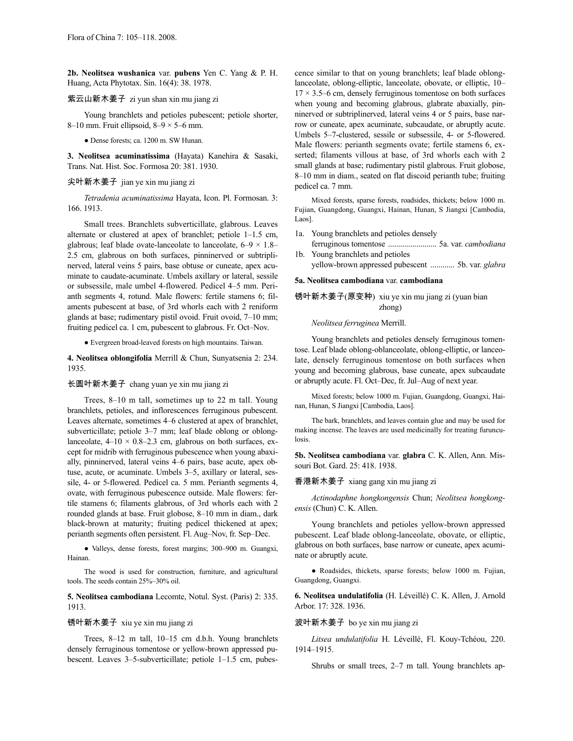**2b. Neolitsea wushanica** var. **pubens** Yen C. Yang & P. H. Huang, Acta Phytotax. Sin. 16(4): 38. 1978.

### 紫云山新木姜子 zi yun shan xin mu jiang zi

Young branchlets and petioles pubescent; petiole shorter, 8–10 mm. Fruit ellipsoid,  $8-9 \times 5-6$  mm.

● Dense forests; ca. 1200 m. SW Hunan.

**3. Neolitsea acuminatissima** (Hayata) Kanehira & Sasaki, Trans. Nat. Hist. Soc. Formosa 20: 381. 1930.

### 尖叶新木姜子 jian ye xin mu jiang zi

*Tetradenia acuminatissima* Hayata, Icon. Pl. Formosan. 3: 166. 1913.

Small trees. Branchlets subverticillate, glabrous. Leaves alternate or clustered at apex of branchlet; petiole 1–1.5 cm, glabrous; leaf blade ovate-lanceolate to lanceolate,  $6-9 \times 1.8-$ 2.5 cm, glabrous on both surfaces, pinninerved or subtriplinerved, lateral veins 5 pairs, base obtuse or cuneate, apex acuminate to caudate-acuminate. Umbels axillary or lateral, sessile or subsessile, male umbel 4-flowered. Pedicel 4–5 mm. Perianth segments 4, rotund. Male flowers: fertile stamens 6; filaments pubescent at base, of 3rd whorls each with 2 reniform glands at base; rudimentary pistil ovoid. Fruit ovoid, 7–10 mm; fruiting pedicel ca. 1 cm, pubescent to glabrous. Fr. Oct–Nov.

● Evergreen broad-leaved forests on high mountains. Taiwan.

**4. Neolitsea oblongifolia** Merrill & Chun, Sunyatsenia 2: 234. 1935.

### 长圆叶新木姜子 chang yuan ye xin mu jiang zi

Trees, 8–10 m tall, sometimes up to 22 m tall. Young branchlets, petioles, and inflorescences ferruginous pubescent. Leaves alternate, sometimes 4–6 clustered at apex of branchlet, subverticillate; petiole 3–7 mm; leaf blade oblong or oblonglanceolate,  $4-10 \times 0.8-2.3$  cm, glabrous on both surfaces, except for midrib with ferruginous pubescence when young abaxially, pinninerved, lateral veins 4–6 pairs, base acute, apex obtuse, acute, or acuminate. Umbels 3–5, axillary or lateral, sessile, 4- or 5-flowered. Pedicel ca. 5 mm. Perianth segments 4, ovate, with ferruginous pubescence outside. Male flowers: fertile stamens 6; filaments glabrous, of 3rd whorls each with 2 rounded glands at base. Fruit globose, 8–10 mm in diam., dark black-brown at maturity; fruiting pedicel thickened at apex; perianth segments often persistent. Fl. Aug–Nov, fr. Sep–Dec.

● Valleys, dense forests, forest margins; 300–900 m. Guangxi, Hainan.

The wood is used for construction, furniture, and agricultural tools. The seeds contain 25%–30% oil.

**5. Neolitsea cambodiana** Lecomte, Notul. Syst. (Paris) 2: 335. 1913.

### 锈叶新木姜子 xiu ye xin mu jiang zi

Trees, 8–12 m tall, 10–15 cm d.b.h. Young branchlets densely ferruginous tomentose or yellow-brown appressed pubescent. Leaves 3–5-subverticillate; petiole 1–1.5 cm, pubescence similar to that on young branchlets; leaf blade oblonglanceolate, oblong-elliptic, lanceolate, obovate, or elliptic, 10–  $17 \times 3.5$ –6 cm, densely ferruginous tomentose on both surfaces when young and becoming glabrous, glabrate abaxially, pinninerved or subtriplinerved, lateral veins 4 or 5 pairs, base narrow or cuneate, apex acuminate, subcaudate, or abruptly acute. Umbels 5–7-clustered, sessile or subsessile, 4- or 5-flowered. Male flowers: perianth segments ovate; fertile stamens 6, exserted; filaments villous at base, of 3rd whorls each with 2 small glands at base; rudimentary pistil glabrous. Fruit globose, 8–10 mm in diam., seated on flat discoid perianth tube; fruiting pedicel ca. 7 mm.

Mixed forests, sparse forests, roadsides, thickets; below 1000 m. Fujian, Guangdong, Guangxi, Hainan, Hunan, S Jiangxi [Cambodia, Laos].

- 1a. Young branchlets and petioles densely
- ferruginous tomentose ........................ 5a. var. *cambodiana* 1b. Young branchlets and petioles
	- yellow-brown appressed pubescent ............ 5b. var. *glabra*

#### **5a. Neolitsea cambodiana** var. **cambodiana**

锈叶新木姜子(原变种) xiu ye xin mu jiang zi (yuan bian zhong)

*Neolitsea ferruginea* Merrill.

Young branchlets and petioles densely ferruginous tomentose. Leaf blade oblong-oblanceolate, oblong-elliptic, or lanceolate, densely ferruginous tomentose on both surfaces when young and becoming glabrous, base cuneate, apex subcaudate or abruptly acute. Fl. Oct–Dec, fr. Jul–Aug of next year.

Mixed forests; below 1000 m. Fujian, Guangdong, Guangxi, Hainan, Hunan, S Jiangxi [Cambodia, Laos].

The bark, branchlets, and leaves contain glue and may be used for making incense. The leaves are used medicinally for treating furunculosis.

**5b. Neolitsea cambodiana** var. **glabra** C. K. Allen, Ann. Missouri Bot. Gard. 25: 418. 1938.

### 香港新木姜子 xiang gang xin mu jiang zi

*Actinodaphne hongkongensis* Chun; *Neolitsea hongkongensis* (Chun) C. K. Allen.

Young branchlets and petioles yellow-brown appressed pubescent. Leaf blade oblong-lanceolate, obovate, or elliptic, glabrous on both surfaces, base narrow or cuneate, apex acuminate or abruptly acute.

● Roadsides, thickets, sparse forests; below 1000 m. Fujian, Guangdong, Guangxi.

**6. Neolitsea undulatifolia** (H. Léveillé) C. K. Allen, J. Arnold Arbor. 17: 328. 1936.

### 波叶新木姜子 bo ye xin mu jiang zi

*Litsea undulatifolia* H. Léveillé, Fl. Kouy-Tchéou, 220. 1914–1915.

Shrubs or small trees, 2–7 m tall. Young branchlets ap-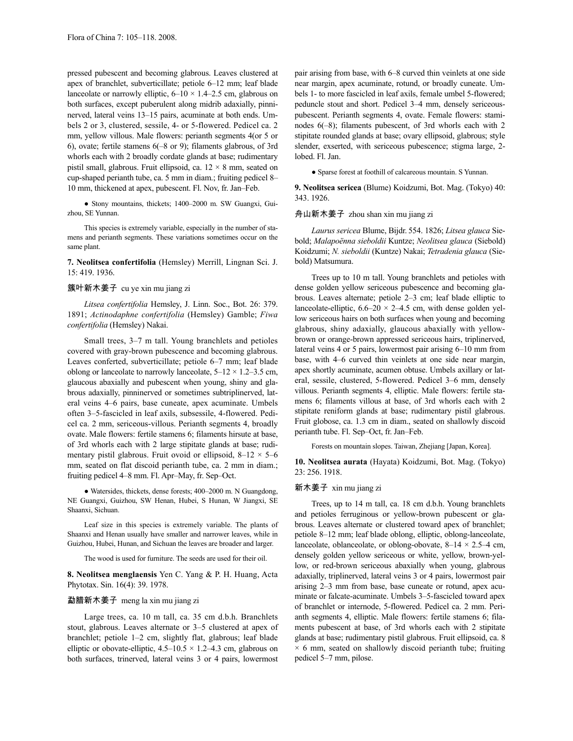pressed pubescent and becoming glabrous. Leaves clustered at apex of branchlet, subverticillate; petiole 6–12 mm; leaf blade lanceolate or narrowly elliptic,  $6-10 \times 1.4-2.5$  cm, glabrous on both surfaces, except puberulent along midrib adaxially, pinninerved, lateral veins 13–15 pairs, acuminate at both ends. Umbels 2 or 3, clustered, sessile, 4- or 5-flowered. Pedicel ca. 2 mm, yellow villous. Male flowers: perianth segments 4(or 5 or 6), ovate; fertile stamens 6(–8 or 9); filaments glabrous, of 3rd whorls each with 2 broadly cordate glands at base; rudimentary pistil small, glabrous. Fruit ellipsoid, ca.  $12 \times 8$  mm, seated on cup-shaped perianth tube, ca. 5 mm in diam.; fruiting pedicel 8– 10 mm, thickened at apex, pubescent. Fl. Nov, fr. Jan–Feb.

● Stony mountains, thickets; 1400–2000 m. SW Guangxi, Guizhou, SE Yunnan.

This species is extremely variable, especially in the number of stamens and perianth segments. These variations sometimes occur on the same plant.

**7. Neolitsea confertifolia** (Hemsley) Merrill, Lingnan Sci. J. 15: 419. 1936.

### 簇叶新木姜子 cu ye xin mu jiang zi

*Litsea confertifolia* Hemsley, J. Linn. Soc., Bot. 26: 379. 1891; *Actinodaphne confertifolia* (Hemsley) Gamble; *Fiwa confertifolia* (Hemsley) Nakai.

Small trees, 3–7 m tall. Young branchlets and petioles covered with gray-brown pubescence and becoming glabrous. Leaves conferted, subverticillate; petiole 6–7 mm; leaf blade oblong or lanceolate to narrowly lanceolate,  $5-12 \times 1.2-3.5$  cm, glaucous abaxially and pubescent when young, shiny and glabrous adaxially, pinninerved or sometimes subtriplinerved, lateral veins 4–6 pairs, base cuneate, apex acuminate. Umbels often 3–5-fascicled in leaf axils, subsessile, 4-flowered. Pedicel ca. 2 mm, sericeous-villous. Perianth segments 4, broadly ovate. Male flowers: fertile stamens 6; filaments hirsute at base, of 3rd whorls each with 2 large stipitate glands at base; rudimentary pistil glabrous. Fruit ovoid or ellipsoid,  $8-12 \times 5-6$ mm, seated on flat discoid perianth tube, ca. 2 mm in diam.; fruiting pedicel 4–8 mm. Fl. Apr–May, fr. Sep–Oct.

● Watersides, thickets, dense forests; 400–2000 m. N Guangdong, NE Guangxi, Guizhou, SW Henan, Hubei, S Hunan, W Jiangxi, SE Shaanxi, Sichuan.

Leaf size in this species is extremely variable. The plants of Shaanxi and Henan usually have smaller and narrower leaves, while in Guizhou, Hubei, Hunan, and Sichuan the leaves are broader and larger.

The wood is used for furniture. The seeds are used for their oil.

**8. Neolitsea menglaensis** Yen C. Yang & P. H. Huang, Acta Phytotax. Sin. 16(4): 39. 1978.

### 勐腊新木姜子 meng la xin mu jiang zi

Large trees, ca. 10 m tall, ca. 35 cm d.b.h. Branchlets stout, glabrous. Leaves alternate or 3–5 clustered at apex of branchlet; petiole 1–2 cm, slightly flat, glabrous; leaf blade elliptic or obovate-elliptic,  $4.5-10.5 \times 1.2-4.3$  cm, glabrous on both surfaces, trinerved, lateral veins 3 or 4 pairs, lowermost

pair arising from base, with 6–8 curved thin veinlets at one side near margin, apex acuminate, rotund, or broadly cuneate. Umbels 1- to more fascicled in leaf axils, female umbel 5-flowered; peduncle stout and short. Pedicel 3–4 mm, densely sericeouspubescent. Perianth segments 4, ovate. Female flowers: staminodes 6(–8); filaments pubescent, of 3rd whorls each with 2 stipitate rounded glands at base; ovary ellipsoid, glabrous; style slender, exserted, with sericeous pubescence; stigma large, 2 lobed. Fl. Jan.

● Sparse forest at foothill of calcareous mountain. S Yunnan.

**9. Neolitsea sericea** (Blume) Koidzumi, Bot. Mag. (Tokyo) 40: 343. 1926.

### 舟山新木姜子 zhou shan xin mu jiang zi

*Laurus sericea* Blume, Bijdr. 554. 1826; *Litsea glauca* Siebold; *Malapoënna sieboldii* Kuntze; *Neolitsea glauca* (Siebold) Koidzumi; *N. sieboldii* (Kuntze) Nakai; *Tetradenia glauca* (Siebold) Matsumura.

Trees up to 10 m tall. Young branchlets and petioles with dense golden yellow sericeous pubescence and becoming glabrous. Leaves alternate; petiole 2–3 cm; leaf blade elliptic to lanceolate-elliptic,  $6.6-20 \times 2-4.5$  cm, with dense golden yellow sericeous hairs on both surfaces when young and becoming glabrous, shiny adaxially, glaucous abaxially with yellowbrown or orange-brown appressed sericeous hairs, triplinerved, lateral veins 4 or 5 pairs, lowermost pair arising 6–10 mm from base, with 4–6 curved thin veinlets at one side near margin, apex shortly acuminate, acumen obtuse. Umbels axillary or lateral, sessile, clustered, 5-flowered. Pedicel 3–6 mm, densely villous. Perianth segments 4, elliptic. Male flowers: fertile stamens 6; filaments villous at base, of 3rd whorls each with 2 stipitate reniform glands at base; rudimentary pistil glabrous. Fruit globose, ca. 1.3 cm in diam., seated on shallowly discoid perianth tube. Fl. Sep–Oct, fr. Jan–Feb.

Forests on mountain slopes. Taiwan, Zhejiang [Japan, Korea].

**10. Neolitsea aurata** (Hayata) Koidzumi, Bot. Mag. (Tokyo) 23: 256. 1918.

### 新木姜子 xin mu jiang zi

Trees, up to 14 m tall, ca. 18 cm d.b.h. Young branchlets and petioles ferruginous or yellow-brown pubescent or glabrous. Leaves alternate or clustered toward apex of branchlet; petiole 8–12 mm; leaf blade oblong, elliptic, oblong-lanceolate, lanceolate, oblanceolate, or oblong-obovate,  $8-14 \times 2.5-4$  cm, densely golden yellow sericeous or white, yellow, brown-yellow, or red-brown sericeous abaxially when young, glabrous adaxially, triplinerved, lateral veins 3 or 4 pairs, lowermost pair arising 2–3 mm from base, base cuneate or rotund, apex acuminate or falcate-acuminate. Umbels 3–5-fascicled toward apex of branchlet or internode, 5-flowered. Pedicel ca. 2 mm. Perianth segments 4, elliptic. Male flowers: fertile stamens 6; filaments pubescent at base, of 3rd whorls each with 2 stipitate glands at base; rudimentary pistil glabrous. Fruit ellipsoid, ca. 8  $\times$  6 mm, seated on shallowly discoid perianth tube; fruiting pedicel 5–7 mm, pilose.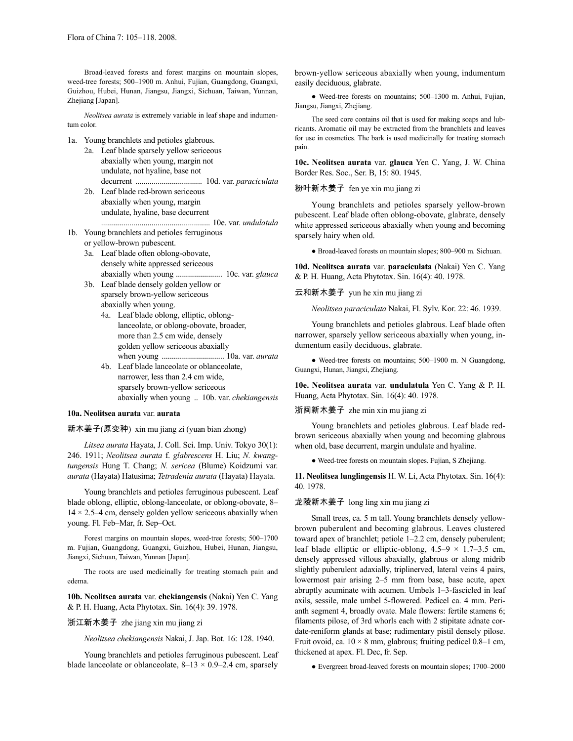Broad-leaved forests and forest margins on mountain slopes, weed-tree forests; 500–1900 m. Anhui, Fujian, Guangdong, Guangxi, Guizhou, Hubei, Hunan, Jiangsu, Jiangxi, Sichuan, Taiwan, Yunnan, Zhejiang [Japan].

*Neolitsea aurata* is extremely variable in leaf shape and indumentum color.

- 1a. Young branchlets and petioles glabrous.
	- 2a. Leaf blade sparsely yellow sericeous abaxially when young, margin not undulate, not hyaline, base not decurrent ................................. 10d. var. *paraciculata* 2b. Leaf blade red-brown sericeous
		- abaxially when young, margin undulate, hyaline, base decurrent ...................................................... 10e. var. *undulatula*
- 1b. Young branchlets and petioles ferruginous or yellow-brown pubescent.
	- 3a. Leaf blade often oblong-obovate, densely white appressed sericeous abaxially when young ....................... 10c. var. *glauca*
	- 3b. Leaf blade densely golden yellow or sparsely brown-yellow sericeous abaxially when young.
		- 4a. Leaf blade oblong, elliptic, oblonglanceolate, or oblong-obovate, broader, more than 2.5 cm wide, densely golden yellow sericeous abaxially when young ............................... 10a. var. *aurata*
		- 4b. Leaf blade lanceolate or oblanceolate, narrower, less than 2.4 cm wide, sparsely brown-yellow sericeous abaxially when young .. 10b. var. *chekiangensis*

### **10a. Neolitsea aurata** var. **aurata**

#### 新木姜子(原变种) xin mu jiang zi (yuan bian zhong)

*Litsea aurata* Hayata, J. Coll. Sci. Imp. Univ. Tokyo 30(1): 246. 1911; *Neolitsea aurata* f. *glabrescens* H. Liu; *N. kwangtungensis* Hung T. Chang; *N. sericea* (Blume) Koidzumi var. *aurata* (Hayata) Hatusima; *Tetradenia aurata* (Hayata) Hayata.

Young branchlets and petioles ferruginous pubescent. Leaf blade oblong, elliptic, oblong-lanceolate, or oblong-obovate, 8–  $14 \times 2.5-4$  cm, densely golden yellow sericeous abaxially when young. Fl. Feb–Mar, fr. Sep–Oct.

Forest margins on mountain slopes, weed-tree forests; 500–1700 m. Fujian, Guangdong, Guangxi, Guizhou, Hubei, Hunan, Jiangsu, Jiangxi, Sichuan, Taiwan, Yunnan [Japan].

The roots are used medicinally for treating stomach pain and edema.

**10b. Neolitsea aurata** var. **chekiangensis** (Nakai) Yen C. Yang & P. H. Huang, Acta Phytotax. Sin. 16(4): 39. 1978.

### 浙江新木姜子 zhe jiang xin mu jiang zi

*Neolitsea chekiangensis* Nakai, J. Jap. Bot. 16: 128. 1940.

Young branchlets and petioles ferruginous pubescent. Leaf blade lanceolate or oblanceolate,  $8-13 \times 0.9-2.4$  cm, sparsely

brown-yellow sericeous abaxially when young, indumentum easily deciduous, glabrate.

● Weed-tree forests on mountains; 500–1300 m. Anhui, Fujian, Jiangsu, Jiangxi, Zhejiang.

The seed core contains oil that is used for making soaps and lubricants. Aromatic oil may be extracted from the branchlets and leaves for use in cosmetics. The bark is used medicinally for treating stomach pain.

**10c. Neolitsea aurata** var. **glauca** Yen C. Yang, J. W. China Border Res. Soc., Ser. B, 15: 80. 1945.

### 粉叶新木姜子 fen ye xin mu jiang zi

Young branchlets and petioles sparsely yellow-brown pubescent. Leaf blade often oblong-obovate, glabrate, densely white appressed sericeous abaxially when young and becoming sparsely hairy when old.

● Broad-leaved forests on mountain slopes; 800–900 m. Sichuan.

**10d. Neolitsea aurata** var. **paraciculata** (Nakai) Yen C. Yang & P. H. Huang, Acta Phytotax. Sin. 16(4): 40. 1978.

### 云和新木姜子 yun he xin mu jiang zi

*Neolitsea paraciculata* Nakai, Fl. Sylv. Kor. 22: 46. 1939.

Young branchlets and petioles glabrous. Leaf blade often narrower, sparsely yellow sericeous abaxially when young, indumentum easily deciduous, glabrate.

● Weed-tree forests on mountains; 500–1900 m. N Guangdong, Guangxi, Hunan, Jiangxi, Zhejiang.

**10e. Neolitsea aurata** var. **undulatula** Yen C. Yang & P. H. Huang, Acta Phytotax. Sin. 16(4): 40. 1978.

### 浙闽新木姜子 zhe min xin mu jiang zi

Young branchlets and petioles glabrous. Leaf blade redbrown sericeous abaxially when young and becoming glabrous when old, base decurrent, margin undulate and hyaline.

● Weed-tree forests on mountain slopes. Fujian, S Zhejiang.

**11. Neolitsea lunglingensis** H. W. Li, Acta Phytotax. Sin. 16(4): 40. 1978.

### 龙陵新木姜子 long ling xin mu jiang zi

Small trees, ca. 5 m tall. Young branchlets densely yellowbrown puberulent and becoming glabrous. Leaves clustered toward apex of branchlet; petiole 1–2.2 cm, densely puberulent; leaf blade elliptic or elliptic-oblong,  $4.5-9 \times 1.7-3.5$  cm, densely appressed villous abaxially, glabrous or along midrib slightly puberulent adaxially, triplinerved, lateral veins 4 pairs, lowermost pair arising 2–5 mm from base, base acute, apex abruptly acuminate with acumen. Umbels 1–3-fascicled in leaf axils, sessile, male umbel 5-flowered. Pedicel ca. 4 mm. Perianth segment 4, broadly ovate. Male flowers: fertile stamens 6; filaments pilose, of 3rd whorls each with 2 stipitate adnate cordate-reniform glands at base; rudimentary pistil densely pilose. Fruit ovoid, ca.  $10 \times 8$  mm, glabrous; fruiting pedicel 0.8–1 cm, thickened at apex. Fl. Dec, fr. Sep.

● Evergreen broad-leaved forests on mountain slopes; 1700–2000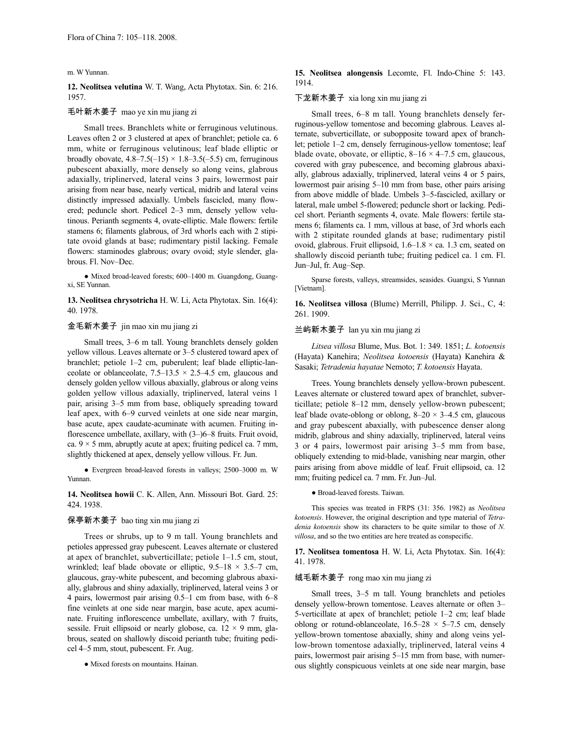m. W Yunnan.

**12. Neolitsea velutina** W. T. Wang, Acta Phytotax. Sin. 6: 216. 1957.

### 毛叶新木姜子 mao ye xin mu jiang zi

Small trees. Branchlets white or ferruginous velutinous. Leaves often 2 or 3 clustered at apex of branchlet; petiole ca. 6 mm, white or ferruginous velutinous; leaf blade elliptic or broadly obovate,  $4.8-7.5(-15) \times 1.8-3.5(-5.5)$  cm, ferruginous pubescent abaxially, more densely so along veins, glabrous adaxially, triplinerved, lateral veins 3 pairs, lowermost pair arising from near base, nearly vertical, midrib and lateral veins distinctly impressed adaxially. Umbels fascicled, many flowered; peduncle short. Pedicel 2–3 mm, densely yellow velutinous. Perianth segments 4, ovate-elliptic. Male flowers: fertile stamens 6; filaments glabrous, of 3rd whorls each with 2 stipitate ovoid glands at base; rudimentary pistil lacking. Female flowers: staminodes glabrous; ovary ovoid; style slender, glabrous. Fl. Nov–Dec.

● Mixed broad-leaved forests; 600–1400 m. Guangdong, Guangxi, SE Yunnan.

**13. Neolitsea chrysotricha** H. W. Li, Acta Phytotax. Sin. 16(4): 40. 1978.

### 金毛新木姜子 jin mao xin mu jiang zi

Small trees, 3–6 m tall. Young branchlets densely golden yellow villous. Leaves alternate or 3–5 clustered toward apex of branchlet; petiole 1–2 cm, puberulent; leaf blade elliptic-lanceolate or oblanceolate,  $7.5-13.5 \times 2.5-4.5$  cm, glaucous and densely golden yellow villous abaxially, glabrous or along veins golden yellow villous adaxially, triplinerved, lateral veins 1 pair, arising 3–5 mm from base, obliquely spreading toward leaf apex, with 6–9 curved veinlets at one side near margin, base acute, apex caudate-acuminate with acumen. Fruiting inflorescence umbellate, axillary, with (3–)6–8 fruits. Fruit ovoid, ca.  $9 \times 5$  mm, abruptly acute at apex; fruiting pedicel ca. 7 mm, slightly thickened at apex, densely yellow villous. Fr. Jun.

● Evergreen broad-leaved forests in valleys; 2500–3000 m. W Yunnan.

**14. Neolitsea howii** C. K. Allen, Ann. Missouri Bot. Gard. 25: 424. 1938.

## 保亭新木姜子 bao ting xin mu jiang zi

Trees or shrubs, up to 9 m tall. Young branchlets and petioles appressed gray pubescent. Leaves alternate or clustered at apex of branchlet, subverticillate; petiole 1–1.5 cm, stout, wrinkled; leaf blade obovate or elliptic,  $9.5-18 \times 3.5-7$  cm, glaucous, gray-white pubescent, and becoming glabrous abaxially, glabrous and shiny adaxially, triplinerved, lateral veins 3 or 4 pairs, lowermost pair arising 0.5–1 cm from base, with 6–8 fine veinlets at one side near margin, base acute, apex acuminate. Fruiting inflorescence umbellate, axillary, with 7 fruits, sessile. Fruit ellipsoid or nearly globose, ca.  $12 \times 9$  mm, glabrous, seated on shallowly discoid perianth tube; fruiting pedicel 4–5 mm, stout, pubescent. Fr. Aug.

● Mixed forests on mountains. Hainan.

### **15. Neolitsea alongensis** Lecomte, Fl. Indo-Chine 5: 143. 1914.

### 下龙新木姜子 xia long xin mu jiang zi

Small trees, 6–8 m tall. Young branchlets densely ferruginous-yellow tomentose and becoming glabrous. Leaves alternate, subverticillate, or subopposite toward apex of branchlet; petiole 1–2 cm, densely ferruginous-yellow tomentose; leaf blade ovate, obovate, or elliptic,  $8-16 \times 4-7.5$  cm, glaucous, covered with gray pubescence, and becoming glabrous abaxially, glabrous adaxially, triplinerved, lateral veins 4 or 5 pairs, lowermost pair arising 5–10 mm from base, other pairs arising from above middle of blade. Umbels 3–5-fascicled, axillary or lateral, male umbel 5-flowered; peduncle short or lacking. Pedicel short. Perianth segments 4, ovate. Male flowers: fertile stamens 6; filaments ca. 1 mm, villous at base, of 3rd whorls each with 2 stipitate rounded glands at base; rudimentary pistil ovoid, glabrous. Fruit ellipsoid,  $1.6-1.8 \times$  ca. 1.3 cm, seated on shallowly discoid perianth tube; fruiting pedicel ca. 1 cm. Fl. Jun–Jul, fr. Aug–Sep.

Sparse forests, valleys, streamsides, seasides. Guangxi, S Yunnan [Vietnam].

**16. Neolitsea villosa** (Blume) Merrill, Philipp. J. Sci., C, 4: 261. 1909.

### 兰屿新木姜子 lan yu xin mu jiang zi

*Litsea villosa* Blume, Mus. Bot. 1: 349. 1851; *L. kotoensis* (Hayata) Kanehira; *Neolitsea kotoensis* (Hayata) Kanehira & Sasaki; *Tetradenia hayatae* Nemoto; *T. kotoensis* Hayata.

Trees. Young branchlets densely yellow-brown pubescent. Leaves alternate or clustered toward apex of branchlet, subverticillate; petiole 8–12 mm, densely yellow-brown pubescent; leaf blade ovate-oblong or oblong,  $8-20 \times 3-4.5$  cm, glaucous and gray pubescent abaxially, with pubescence denser along midrib, glabrous and shiny adaxially, triplinerved, lateral veins 3 or 4 pairs, lowermost pair arising 3–5 mm from base, obliquely extending to mid-blade, vanishing near margin, other pairs arising from above middle of leaf. Fruit ellipsoid, ca. 12 mm; fruiting pedicel ca. 7 mm. Fr. Jun–Jul.

● Broad-leaved forests. Taiwan.

This species was treated in FRPS (31: 356. 1982) as *Neolitsea kotoensis*. However, the original description and type material of *Tetradenia kotoensis* show its characters to be quite similar to those of *N. villosa*, and so the two entities are here treated as conspecific.

**17. Neolitsea tomentosa** H. W. Li, Acta Phytotax. Sin. 16(4): 41. 1978.

## 绒毛新木姜子 rong mao xin mu jiang zi

Small trees, 3–5 m tall. Young branchlets and petioles densely yellow-brown tomentose. Leaves alternate or often 3– 5-verticillate at apex of branchlet; petiole 1–2 cm; leaf blade oblong or rotund-oblanceolate,  $16.5-28 \times 5-7.5$  cm, densely yellow-brown tomentose abaxially, shiny and along veins yellow-brown tomentose adaxially, triplinerved, lateral veins 4 pairs, lowermost pair arising 5–15 mm from base, with numerous slightly conspicuous veinlets at one side near margin, base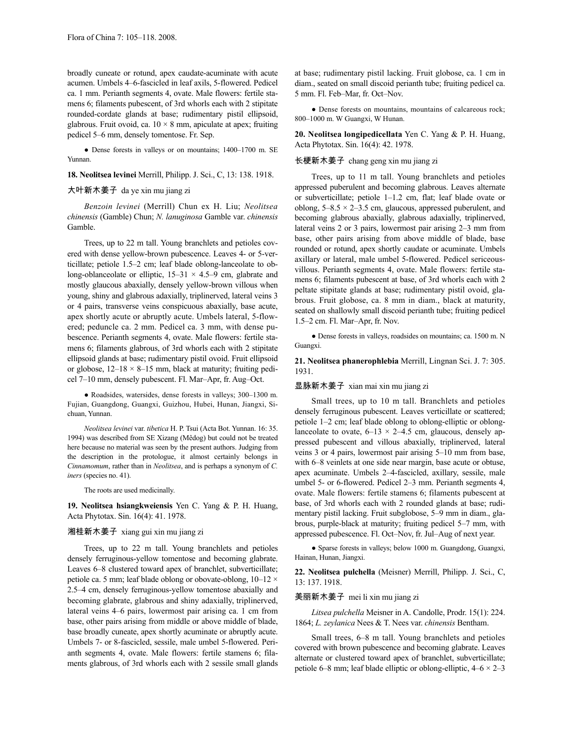broadly cuneate or rotund, apex caudate-acuminate with acute acumen. Umbels 4–6-fascicled in leaf axils, 5-flowered. Pedicel ca. 1 mm. Perianth segments 4, ovate. Male flowers: fertile stamens 6; filaments pubescent, of 3rd whorls each with 2 stipitate rounded-cordate glands at base; rudimentary pistil ellipsoid, glabrous. Fruit ovoid, ca.  $10 \times 8$  mm, apiculate at apex; fruiting pedicel 5–6 mm, densely tomentose. Fr. Sep.

● Dense forests in valleys or on mountains; 1400–1700 m. SE Yunnan.

**18. Neolitsea levinei** Merrill, Philipp. J. Sci., C, 13: 138. 1918.

## 大叶新木姜子 da ye xin mu jiang zi

*Benzoin levinei* (Merrill) Chun ex H. Liu; *Neolitsea chinensis* (Gamble) Chun; *N. lanuginosa* Gamble var. *chinensis* Gamble.

Trees, up to 22 m tall. Young branchlets and petioles covered with dense yellow-brown pubescence. Leaves 4- or 5-verticillate; petiole 1.5–2 cm; leaf blade oblong-lanceolate to oblong-oblanceolate or elliptic,  $15-31 \times 4.5-9$  cm, glabrate and mostly glaucous abaxially, densely yellow-brown villous when young, shiny and glabrous adaxially, triplinerved, lateral veins 3 or 4 pairs, transverse veins conspicuous abaxially, base acute, apex shortly acute or abruptly acute. Umbels lateral, 5-flowered; peduncle ca. 2 mm. Pedicel ca. 3 mm, with dense pubescence. Perianth segments 4, ovate. Male flowers: fertile stamens 6; filaments glabrous, of 3rd whorls each with 2 stipitate ellipsoid glands at base; rudimentary pistil ovoid. Fruit ellipsoid or globose,  $12-18 \times 8-15$  mm, black at maturity; fruiting pedicel 7–10 mm, densely pubescent. Fl. Mar–Apr, fr. Aug–Oct.

● Roadsides, watersides, dense forests in valleys; 300–1300 m. Fujian, Guangdong, Guangxi, Guizhou, Hubei, Hunan, Jiangxi, Sichuan, Yunnan.

*Neolitsea levinei* var. *tibetica* H. P. Tsui (Acta Bot. Yunnan. 16: 35. 1994) was described from SE Xizang (Mêdog) but could not be treated here because no material was seen by the present authors. Judging from the description in the protologue, it almost certainly belongs in *Cinnamomum*, rather than in *Neolitsea*, and is perhaps a synonym of *C. iners* (species no. 41).

The roots are used medicinally.

**19. Neolitsea hsiangkweiensis** Yen C. Yang & P. H. Huang, Acta Phytotax. Sin. 16(4): 41. 1978.

### 湘桂新木姜子 xiang gui xin mu jiang zi

Trees, up to 22 m tall. Young branchlets and petioles densely ferruginous-yellow tomentose and becoming glabrate. Leaves 6–8 clustered toward apex of branchlet, subverticillate; petiole ca. 5 mm; leaf blade oblong or obovate-oblong, 10–12 × 2.5–4 cm, densely ferruginous-yellow tomentose abaxially and becoming glabrate, glabrous and shiny adaxially, triplinerved, lateral veins 4–6 pairs, lowermost pair arising ca. 1 cm from base, other pairs arising from middle or above middle of blade, base broadly cuneate, apex shortly acuminate or abruptly acute. Umbels 7- or 8-fascicled, sessile, male umbel 5-flowered. Perianth segments 4, ovate. Male flowers: fertile stamens 6; filaments glabrous, of 3rd whorls each with 2 sessile small glands

at base; rudimentary pistil lacking. Fruit globose, ca. 1 cm in diam., seated on small discoid perianth tube; fruiting pedicel ca. 5 mm. Fl. Feb–Mar, fr. Oct–Nov.

• Dense forests on mountains, mountains of calcareous rock; 800–1000 m. W Guangxi, W Hunan.

**20. Neolitsea longipedicellata** Yen C. Yang & P. H. Huang, Acta Phytotax. Sin. 16(4): 42. 1978.

### 长梗新木姜子 chang geng xin mu jiang zi

Trees, up to 11 m tall. Young branchlets and petioles appressed puberulent and becoming glabrous. Leaves alternate or subverticillate; petiole 1–1.2 cm, flat; leaf blade ovate or oblong,  $5-8.5 \times 2-3.5$  cm, glaucous, appressed puberulent, and becoming glabrous abaxially, glabrous adaxially, triplinerved, lateral veins 2 or 3 pairs, lowermost pair arising 2–3 mm from base, other pairs arising from above middle of blade, base rounded or rotund, apex shortly caudate or acuminate. Umbels axillary or lateral, male umbel 5-flowered. Pedicel sericeousvillous. Perianth segments 4, ovate. Male flowers: fertile stamens 6; filaments pubescent at base, of 3rd whorls each with 2 peltate stipitate glands at base; rudimentary pistil ovoid, glabrous. Fruit globose, ca. 8 mm in diam., black at maturity, seated on shallowly small discoid perianth tube; fruiting pedicel 1.5–2 cm. Fl. Mar–Apr, fr. Nov.

● Dense forests in valleys, roadsides on mountains; ca. 1500 m. N Guangxi.

**21. Neolitsea phanerophlebia** Merrill, Lingnan Sci. J. 7: 305. 1931.

### 显脉新木姜子 xian mai xin mu jiang zi

Small trees, up to 10 m tall. Branchlets and petioles densely ferruginous pubescent. Leaves verticillate or scattered; petiole 1–2 cm; leaf blade oblong to oblong-elliptic or oblonglanceolate to ovate,  $6-13 \times 2-4.5$  cm, glaucous, densely appressed pubescent and villous abaxially, triplinerved, lateral veins 3 or 4 pairs, lowermost pair arising 5–10 mm from base, with 6–8 veinlets at one side near margin, base acute or obtuse, apex acuminate. Umbels 2–4-fascicled, axillary, sessile, male umbel 5- or 6-flowered. Pedicel 2–3 mm. Perianth segments 4, ovate. Male flowers: fertile stamens 6; filaments pubescent at base, of 3rd whorls each with 2 rounded glands at base; rudimentary pistil lacking. Fruit subglobose, 5–9 mm in diam., glabrous, purple-black at maturity; fruiting pedicel 5–7 mm, with appressed pubescence. Fl. Oct–Nov, fr. Jul–Aug of next year.

● Sparse forests in valleys; below 1000 m. Guangdong, Guangxi, Hainan, Hunan, Jiangxi.

**22. Neolitsea pulchella** (Meisner) Merrill, Philipp. J. Sci., C, 13: 137. 1918.

### 美丽新木姜子 mei li xin mu jiang zi

*Litsea pulchella* Meisner in A. Candolle, Prodr. 15(1): 224. 1864; *L. zeylanica* Nees & T. Nees var. *chinensis* Bentham.

Small trees, 6–8 m tall. Young branchlets and petioles covered with brown pubescence and becoming glabrate. Leaves alternate or clustered toward apex of branchlet, subverticillate; petiole 6–8 mm; leaf blade elliptic or oblong-elliptic,  $4-6 \times 2-3$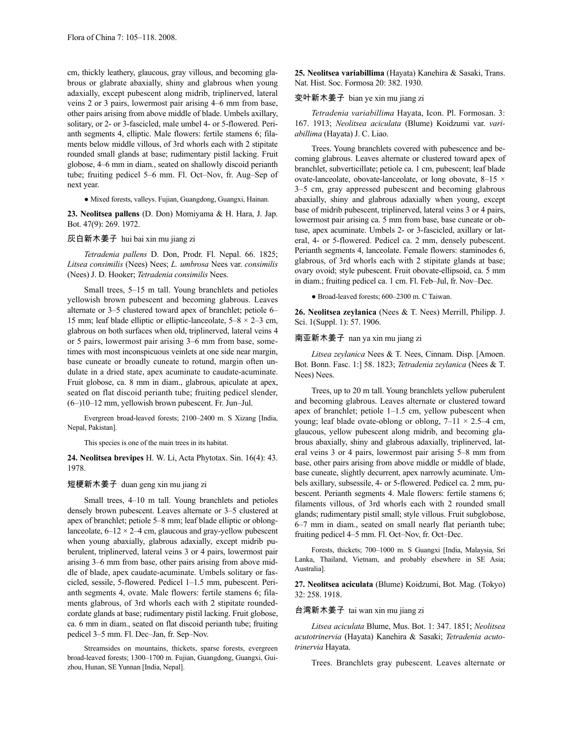cm, thickly leathery, glaucous, gray villous, and becoming glabrous or glabrate abaxially, shiny and glabrous when young adaxially, except pubescent along midrib, triplinerved, lateral veins 2 or 3 pairs, lowermost pair arising 4–6 mm from base, other pairs arising from above middle of blade. Umbels axillary, solitary, or 2- or 3-fascicled, male umbel 4- or 5-flowered. Perianth segments 4, elliptic. Male flowers: fertile stamens 6; filaments below middle villous, of 3rd whorls each with 2 stipitate rounded small glands at base; rudimentary pistil lacking. Fruit globose, 4–6 mm in diam., seated on shallowly discoid perianth tube; fruiting pedicel 5–6 mm. Fl. Oct–Nov, fr. Aug–Sep of next year.

● Mixed forests, valleys. Fujian, Guangdong, Guangxi, Hainan.

**23. Neolitsea pallens** (D. Don) Momiyama & H. Hara, J. Jap. Bot. 47(9): 269. 1972.

### 灰白新木姜子 hui bai xin mu jiang zi

*Tetradenia pallens* D. Don, Prodr. Fl. Nepal. 66. 1825; *Litsea consimilis* (Nees) Nees; *L. umbrosa* Nees var. *consimilis* (Nees) J. D. Hooker; *Tetradenia consimilis* Nees.

Small trees, 5–15 m tall. Young branchlets and petioles yellowish brown pubescent and becoming glabrous. Leaves alternate or 3–5 clustered toward apex of branchlet; petiole 6– 15 mm; leaf blade elliptic or elliptic-lanceolate,  $5-8 \times 2-3$  cm, glabrous on both surfaces when old, triplinerved, lateral veins 4 or 5 pairs, lowermost pair arising 3–6 mm from base, sometimes with most inconspicuous veinlets at one side near margin, base cuneate or broadly cuneate to rotund, margin often undulate in a dried state, apex acuminate to caudate-acuminate. Fruit globose, ca. 8 mm in diam., glabrous, apiculate at apex, seated on flat discoid perianth tube; fruiting pedicel slender, (6–)10–12 mm, yellowish brown pubescent. Fr. Jun–Jul.

Evergreen broad-leaved forests; 2100–2400 m. S Xizang [India, Nepal, Pakistan].

This species is one of the main trees in its habitat.

**24. Neolitsea brevipes** H. W. Li, Acta Phytotax. Sin. 16(4): 43. 1978.

### 短梗新木姜子 duan geng xin mu jiang zi

Small trees, 4–10 m tall. Young branchlets and petioles densely brown pubescent. Leaves alternate or 3–5 clustered at apex of branchlet; petiole 5–8 mm; leaf blade elliptic or oblonglanceolate,  $6-12 \times 2-4$  cm, glaucous and gray-yellow pubescent when young abaxially, glabrous adaxially, except midrib puberulent, triplinerved, lateral veins 3 or 4 pairs, lowermost pair arising 3–6 mm from base, other pairs arising from above middle of blade, apex caudate-acuminate. Umbels solitary or fascicled, sessile, 5-flowered. Pedicel 1–1.5 mm, pubescent. Perianth segments 4, ovate. Male flowers: fertile stamens 6; filaments glabrous, of 3rd whorls each with 2 stipitate roundedcordate glands at base; rudimentary pistil lacking. Fruit globose, ca. 6 mm in diam., seated on flat discoid perianth tube; fruiting pedicel 3–5 mm. Fl. Dec–Jan, fr. Sep–Nov.

Streamsides on mountains, thickets, sparse forests, evergreen broad-leaved forests; 1300–1700 m. Fujian, Guangdong, Guangxi, Guizhou, Hunan, SE Yunnan [India, Nepal].

**25. Neolitsea variabillima** (Hayata) Kanehira & Sasaki, Trans. Nat. Hist. Soc. Formosa 20: 382. 1930.

### 变叶新木姜子 bian ye xin mu jiang zi

*Tetradenia variabillima* Hayata, Icon. Pl. Formosan. 3: 167. 1913; *Neolitsea aciculata* (Blume) Koidzumi var. *variabillima* (Hayata) J. C. Liao.

Trees. Young branchlets covered with pubescence and becoming glabrous. Leaves alternate or clustered toward apex of branchlet, subverticillate; petiole ca. 1 cm, pubescent; leaf blade ovate-lanceolate, obovate-lanceolate, or long obovate, 8–15 × 3–5 cm, gray appressed pubescent and becoming glabrous abaxially, shiny and glabrous adaxially when young, except base of midrib pubescent, triplinerved, lateral veins 3 or 4 pairs, lowermost pair arising ca. 5 mm from base, base cuneate or obtuse, apex acuminate. Umbels 2- or 3-fascicled, axillary or lateral, 4- or 5-flowered. Pedicel ca. 2 mm, densely pubescent. Perianth segments 4, lanceolate. Female flowers: staminodes 6, glabrous, of 3rd whorls each with 2 stipitate glands at base; ovary ovoid; style pubescent. Fruit obovate-ellipsoid, ca. 5 mm in diam.; fruiting pedicel ca. 1 cm. Fl. Feb–Jul, fr. Nov–Dec.

● Broad-leaved forests; 600–2300 m. C Taiwan.

**26. Neolitsea zeylanica** (Nees & T. Nees) Merrill, Philipp. J. Sci. 1(Suppl. 1): 57. 1906.

### 南亚新木姜子 nan ya xin mu jiang zi

*Litsea zeylanica* Nees & T. Nees, Cinnam. Disp. [Amoen. Bot. Bonn. Fasc. 1:] 58. 1823; *Tetradenia zeylanica* (Nees & T. Nees) Nees.

Trees, up to 20 m tall. Young branchlets yellow puberulent and becoming glabrous. Leaves alternate or clustered toward apex of branchlet; petiole 1–1.5 cm, yellow pubescent when young; leaf blade ovate-oblong or oblong,  $7-11 \times 2.5-4$  cm, glaucous, yellow pubescent along midrib, and becoming glabrous abaxially, shiny and glabrous adaxially, triplinerved, lateral veins 3 or 4 pairs, lowermost pair arising 5–8 mm from base, other pairs arising from above middle or middle of blade, base cuneate, slightly decurrent, apex narrowly acuminate. Umbels axillary, subsessile, 4- or 5-flowered. Pedicel ca. 2 mm, pubescent. Perianth segments 4. Male flowers: fertile stamens 6; filaments villous, of 3rd whorls each with 2 rounded small glands; rudimentary pistil small; style villous. Fruit subglobose, 6–7 mm in diam., seated on small nearly flat perianth tube; fruiting pedicel 4–5 mm. Fl. Oct–Nov, fr. Oct–Dec.

Forests, thickets; 700–1000 m. S Guangxi [India, Malaysia, Sri Lanka, Thailand, Vietnam, and probably elsewhere in SE Asia; Australia].

**27. Neolitsea aciculata** (Blume) Koidzumi, Bot. Mag. (Tokyo) 32: 258. 1918.

### 台湾新木姜子 tai wan xin mu jiang zi

*Litsea aciculata* Blume, Mus. Bot. 1: 347. 1851; *Neolitsea acutotrinervia* (Hayata) Kanehira & Sasaki; *Tetradenia acutotrinervia* Hayata.

Trees. Branchlets gray pubescent. Leaves alternate or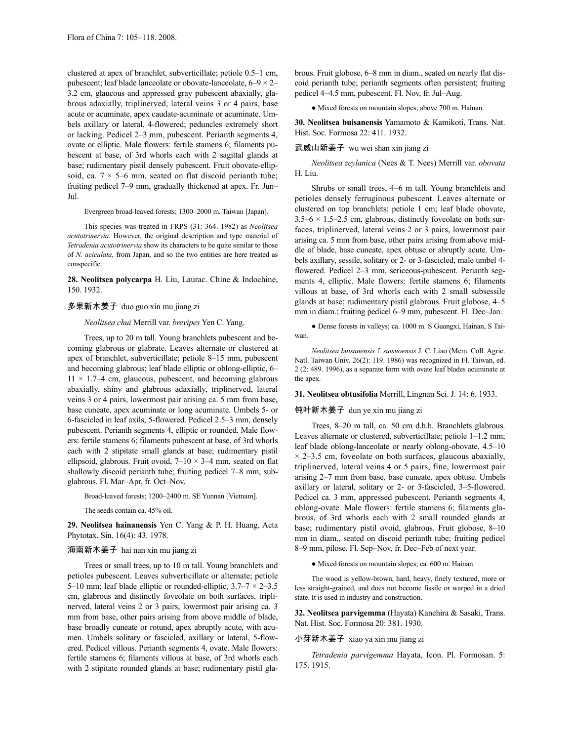clustered at apex of branchlet, subverticillate; petiole 0.5–1 cm, pubescent; leaf blade lanceolate or obovate-lanceolate,  $6-9 \times 2-$ 3.2 cm, glaucous and appressed gray pubescent abaxially, glabrous adaxially, triplinerved, lateral veins 3 or 4 pairs, base acute or acuminate, apex caudate-acuminate or acuminate. Umbels axillary or lateral, 4-flowered; peduncles extremely short or lacking. Pedicel 2–3 mm, pubescent. Perianth segments 4, ovate or elliptic. Male flowers: fertile stamens 6; filaments pubescent at base, of 3rd whorls each with 2 sagittal glands at base; rudimentary pistil densely pubescent. Fruit obovate-ellipsoid, ca.  $7 \times 5{-}6$  mm, seated on flat discoid perianth tube; fruiting pedicel 7–9 mm, gradually thickened at apex. Fr. Jun– Jul.

Evergreen broad-leaved forests; 1300–2000 m. Taiwan [Japan].

This species was treated in FRPS (31: 364. 1982) as *Neolitsea acutotrinervia*. However, the original description and type material of *Tetradenia acutotrinervia* show its characters to be quite similar to those of *N. aciculata*, from Japan, and so the two entities are here treated as conspecific.

**28. Neolitsea polycarpa** H. Liu, Laurac. Chine & Indochine, 150. 1932.

### 多果新木姜子 duo guo xin mu jiang zi

*Neolitsea chui* Merrill var. *brevipes* Yen C. Yang.

Trees, up to 20 m tall. Young branchlets pubescent and becoming glabrous or glabrate. Leaves alternate or clustered at apex of branchlet, subverticillate; petiole 8–15 mm, pubescent and becoming glabrous; leaf blade elliptic or oblong-elliptic, 6–  $11 \times 1.7-4$  cm, glaucous, pubescent, and becoming glabrous abaxially, shiny and glabrous adaxially, triplinerved, lateral veins 3 or 4 pairs, lowermost pair arising ca. 5 mm from base, base cuneate, apex acuminate or long acuminate. Umbels 5- or 6-fascicled in leaf axils, 5-flowered. Pedicel 2.5–3 mm, densely pubescent. Perianth segments 4, elliptic or rounded. Male flowers: fertile stamens 6; filaments pubescent at base, of 3rd whorls each with 2 stipitate small glands at base; rudimentary pistil ellipsoid, glabrous. Fruit ovoid,  $7-10 \times 3-4$  mm, seated on flat shallowly discoid perianth tube; fruiting pedicel 7–8 mm, subglabrous. Fl. Mar–Apr, fr. Oct–Nov.

Broad-leaved forests; 1200–2400 m. SE Yunnan [Vietnam].

The seeds contain ca. 45% oil.

**29. Neolitsea hainanensis** Yen C. Yang & P. H. Huang, Acta Phytotax. Sin. 16(4): 43. 1978.

### 海南新木姜子 hai nan xin mu jiang zi

Trees or small trees, up to 10 m tall. Young branchlets and petioles pubescent. Leaves subverticillate or alternate; petiole 5–10 mm; leaf blade elliptic or rounded-elliptic,  $3.7-7 \times 2-3.5$ cm, glabrous and distinctly foveolate on both surfaces, triplinerved, lateral veins 2 or 3 pairs, lowermost pair arising ca. 3 mm from base, other pairs arising from above middle of blade, base broadly cuneate or rotund, apex abruptly acute, with acumen. Umbels solitary or fascicled, axillary or lateral, 5-flowered. Pedicel villous. Perianth segments 4, ovate. Male flowers: fertile stamens 6; filaments villous at base, of 3rd whorls each with 2 stipitate rounded glands at base; rudimentary pistil glabrous. Fruit globose, 6–8 mm in diam., seated on nearly flat discoid perianth tube; perianth segments often persistent; fruiting pedicel 4–4.5 mm, pubescent. Fl. Nov, fr. Jul–Aug.

● Mixed forests on mountain slopes; above 700 m. Hainan.

**30. Neolitsea buisanensis** Yamamoto & Kamikoti, Trans. Nat. Hist. Soc. Formosa 22: 411. 1932.

### 武威山新姜子 wu wei shan xin jiang zi

*Neolitsea zeylanica* (Nees & T. Nees) Merrill var. *obovata* H. Liu.

Shrubs or small trees, 4–6 m tall. Young branchlets and petioles densely ferruginous pubescent. Leaves alternate or clustered on top branchlets; petiole 1 cm; leaf blade obovate,  $3.5-6 \times 1.5-2.5$  cm, glabrous, distinctly foveolate on both surfaces, triplinerved, lateral veins 2 or 3 pairs, lowermost pair arising ca. 5 mm from base, other pairs arising from above middle of blade, base cuneate, apex obtuse or abruptly acute. Umbels axillary, sessile, solitary or 2- or 3-fascicled, male umbel 4 flowered. Pedicel 2–3 mm, sericeous-pubescent. Perianth segments 4, elliptic. Male flowers: fertile stamens 6; filaments villous at base, of 3rd whorls each with 2 small subsessile glands at base; rudimentary pistil glabrous. Fruit globose, 4–5 mm in diam.; fruiting pedicel 6–9 mm, pubescent. Fl. Dec–Jan.

● Dense forests in valleys; ca. 1000 m. S Guangxi, Hainan, S Taiwan.

*Neolitsea buisanensis* f. *sutsuoensis* J. C. Liao (Mem. Coll. Agric. Natl. Taiwan Univ. 26(2): 119. 1986) was recognized in Fl. Taiwan, ed. 2 (2: 489. 1996), as a separate form with ovate leaf blades acuminate at the anex.

#### **31. Neolitsea obtusifolia** Merrill, Lingnan Sci. J. 14: 6. 1933.

### 钝叶新木姜子 dun ye xin mu jiang zi

Trees, 8–20 m tall, ca. 50 cm d.b.h. Branchlets glabrous. Leaves alternate or clustered, subverticillate; petiole 1–1.2 mm; leaf blade oblong-lanceolate or nearly oblong-obovate, 4.5–10  $\times$  2–3.5 cm, foveolate on both surfaces, glaucous abaxially, triplinerved, lateral veins 4 or 5 pairs, fine, lowermost pair arising 2–7 mm from base, base cuneate, apex obtuse. Umbels axillary or lateral, solitary or 2- or 3-fascicled, 3–5-flowered. Pedicel ca. 3 mm, appressed pubescent. Perianth segments 4, oblong-ovate. Male flowers: fertile stamens 6; filaments glabrous, of 3rd whorls each with 2 small rounded glands at base; rudimentary pistil ovoid, glabrous. Fruit globose, 8–10 mm in diam., seated on discoid perianth tube; fruiting pedicel 8–9 mm, pilose. Fl. Sep–Nov, fr. Dec–Feb of next year.

● Mixed forests on mountain slopes; ca. 600 m. Hainan.

The wood is yellow-brown, hard, heavy, finely textured, more or less straight-grained, and does not become fissile or warped in a dried state. It is used in industry and construction.

**32. Neolitsea parvigemma** (Hayata) Kanehira & Sasaki, Trans. Nat. Hist. Soc. Formosa 20: 381. 1930.

### 小芽新木姜子 xiao ya xin mu jiang zi

*Tetradenia parvigemma* Hayata, Icon. Pl. Formosan. 5: 175. 1915.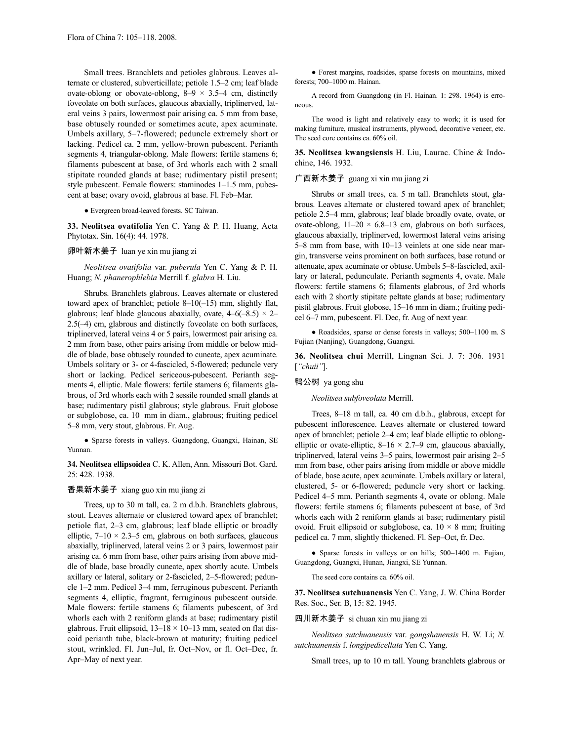Small trees. Branchlets and petioles glabrous. Leaves alternate or clustered, subverticillate; petiole 1.5–2 cm; leaf blade ovate-oblong or obovate-oblong,  $8-9 \times 3.5-4$  cm, distinctly foveolate on both surfaces, glaucous abaxially, triplinerved, lateral veins 3 pairs, lowermost pair arising ca. 5 mm from base, base obtusely rounded or sometimes acute, apex acuminate. Umbels axillary, 5–7-flowered; peduncle extremely short or lacking. Pedicel ca. 2 mm, yellow-brown pubescent. Perianth segments 4, triangular-oblong. Male flowers: fertile stamens 6; filaments pubescent at base, of 3rd whorls each with 2 small stipitate rounded glands at base; rudimentary pistil present; style pubescent. Female flowers: staminodes 1–1.5 mm, pubescent at base; ovary ovoid, glabrous at base. Fl. Feb–Mar.

● Evergreen broad-leaved forests. SC Taiwan.

**33. Neolitsea ovatifolia** Yen C. Yang & P. H. Huang, Acta Phytotax. Sin. 16(4): 44. 1978.

### 卵叶新木姜子 luan ye xin mu jiang zi

*Neolitsea ovatifolia* var. *puberula* Yen C. Yang & P. H. Huang; *N. phanerophlebia* Merrill f. *glabra* H. Liu.

Shrubs. Branchlets glabrous. Leaves alternate or clustered toward apex of branchlet; petiole 8–10(–15) mm, slightly flat, glabrous; leaf blade glaucous abaxially, ovate,  $4-6(-8.5) \times 2-$ 2.5(–4) cm, glabrous and distinctly foveolate on both surfaces, triplinerved, lateral veins 4 or 5 pairs, lowermost pair arising ca. 2 mm from base, other pairs arising from middle or below middle of blade, base obtusely rounded to cuneate, apex acuminate. Umbels solitary or 3- or 4-fascicled, 5-flowered; peduncle very short or lacking. Pedicel sericeous-pubescent. Perianth segments 4, elliptic. Male flowers: fertile stamens 6; filaments glabrous, of 3rd whorls each with 2 sessile rounded small glands at base; rudimentary pistil glabrous; style glabrous. Fruit globose or subglobose, ca. 10 mm in diam., glabrous; fruiting pedicel 5–8 mm, very stout, glabrous. Fr. Aug.

● Sparse forests in valleys. Guangdong, Guangxi, Hainan, SE Yunnan.

**34. Neolitsea ellipsoidea** C. K. Allen, Ann. Missouri Bot. Gard. 25: 428. 1938.

### 香果新木姜子 xiang guo xin mu jiang zi

Trees, up to 30 m tall, ca. 2 m d.b.h. Branchlets glabrous, stout. Leaves alternate or clustered toward apex of branchlet; petiole flat, 2–3 cm, glabrous; leaf blade elliptic or broadly elliptic,  $7-10 \times 2.3-5$  cm, glabrous on both surfaces, glaucous abaxially, triplinerved, lateral veins 2 or 3 pairs, lowermost pair arising ca. 6 mm from base, other pairs arising from above middle of blade, base broadly cuneate, apex shortly acute. Umbels axillary or lateral, solitary or 2-fascicled, 2–5-flowered; peduncle 1–2 mm. Pedicel 3–4 mm, ferruginous pubescent. Perianth segments 4, elliptic, fragrant, ferruginous pubescent outside. Male flowers: fertile stamens 6; filaments pubescent, of 3rd whorls each with 2 reniform glands at base; rudimentary pistil glabrous. Fruit ellipsoid,  $13-18 \times 10-13$  mm, seated on flat discoid perianth tube, black-brown at maturity; fruiting pedicel stout, wrinkled. Fl. Jun–Jul, fr. Oct–Nov, or fl. Oct–Dec, fr. Apr–May of next year.

● Forest margins, roadsides, sparse forests on mountains, mixed forests; 700–1000 m. Hainan.

A record from Guangdong (in Fl. Hainan. 1: 298. 1964) is erroneous.

The wood is light and relatively easy to work; it is used for making furniture, musical instruments, plywood, decorative veneer, etc. The seed core contains ca. 60% oil.

**35. Neolitsea kwangsiensis** H. Liu, Laurac. Chine & Indochine, 146. 1932.

### 广西新木姜子 guang xi xin mu jiang zi

Shrubs or small trees, ca. 5 m tall. Branchlets stout, glabrous. Leaves alternate or clustered toward apex of branchlet; petiole 2.5–4 mm, glabrous; leaf blade broadly ovate, ovate, or ovate-oblong,  $11-20 \times 6.8-13$  cm, glabrous on both surfaces, glaucous abaxially, triplinerved, lowermost lateral veins arising 5–8 mm from base, with 10–13 veinlets at one side near margin, transverse veins prominent on both surfaces, base rotund or attenuate, apex acuminate or obtuse. Umbels 5–8-fascicled, axillary or lateral, pedunculate. Perianth segments 4, ovate. Male flowers: fertile stamens 6; filaments glabrous, of 3rd whorls each with 2 shortly stipitate peltate glands at base; rudimentary pistil glabrous. Fruit globose, 15–16 mm in diam.; fruiting pedicel 6–7 mm, pubescent. Fl. Dec, fr. Aug of next year.

● Roadsides, sparse or dense forests in valleys; 500–1100 m. S Fujian (Nanjing), Guangdong, Guangxi.

**36. Neolitsea chui** Merrill, Lingnan Sci. J. 7: 306. 1931 [*"chuii"*].

鸭公树 ya gong shu

*Neolitsea subfoveolata* Merrill.

Trees, 8–18 m tall, ca. 40 cm d.b.h., glabrous, except for pubescent inflorescence. Leaves alternate or clustered toward apex of branchlet; petiole 2–4 cm; leaf blade elliptic to oblongelliptic or ovate-elliptic,  $8-16 \times 2.7-9$  cm, glaucous abaxially, triplinerved, lateral veins 3–5 pairs, lowermost pair arising 2–5 mm from base, other pairs arising from middle or above middle of blade, base acute, apex acuminate. Umbels axillary or lateral, clustered, 5- or 6-flowered; peduncle very short or lacking. Pedicel 4–5 mm. Perianth segments 4, ovate or oblong. Male flowers: fertile stamens 6; filaments pubescent at base, of 3rd whorls each with 2 reniform glands at base; rudimentary pistil ovoid. Fruit ellipsoid or subglobose, ca.  $10 \times 8$  mm; fruiting pedicel ca. 7 mm, slightly thickened. Fl. Sep–Oct, fr. Dec.

● Sparse forests in valleys or on hills; 500–1400 m. Fujian, Guangdong, Guangxi, Hunan, Jiangxi, SE Yunnan.

The seed core contains ca. 60% oil.

**37. Neolitsea sutchuanensis** Yen C. Yang, J. W. China Border Res. Soc., Ser. B, 15: 82. 1945.

### 四川新木姜子 si chuan xin mu jiang zi

*Neolitsea sutchuanensis* var. *gongshanensis* H. W. Li; *N. sutchuanensis* f. *longipedicellata* Yen C. Yang.

Small trees, up to 10 m tall. Young branchlets glabrous or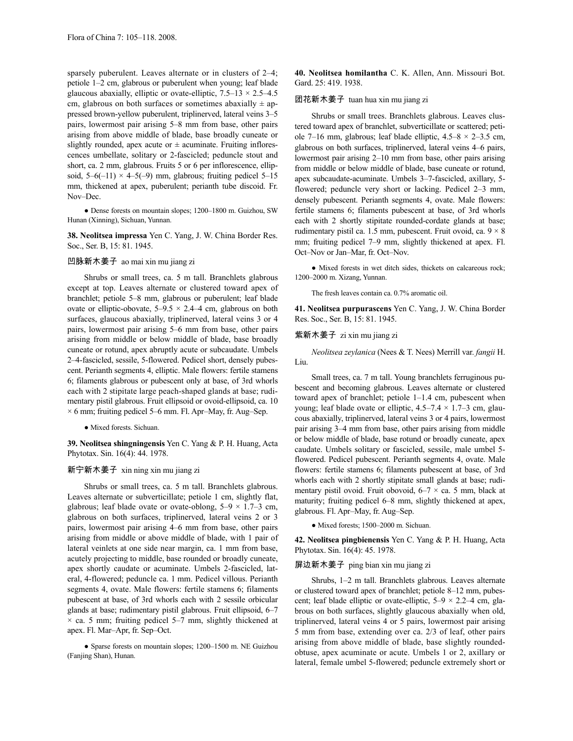sparsely puberulent. Leaves alternate or in clusters of 2–4; petiole 1–2 cm, glabrous or puberulent when young; leaf blade glaucous abaxially, elliptic or ovate-elliptic,  $7.5-13 \times 2.5-4.5$ cm, glabrous on both surfaces or sometimes abaxially  $\pm$  appressed brown-yellow puberulent, triplinerved, lateral veins 3–5 pairs, lowermost pair arising 5–8 mm from base, other pairs arising from above middle of blade, base broadly cuneate or slightly rounded, apex acute or  $\pm$  acuminate. Fruiting inflorescences umbellate, solitary or 2-fascicled; peduncle stout and short, ca. 2 mm, glabrous. Fruits 5 or 6 per inflorescence, ellipsoid,  $5-6(-11) \times 4-5(-9)$  mm, glabrous; fruiting pedicel  $5-15$ mm, thickened at apex, puberulent; perianth tube discoid. Fr. Nov–Dec.

● Dense forests on mountain slopes; 1200–1800 m. Guizhou, SW Hunan (Xinning), Sichuan, Yunnan.

**38. Neolitsea impressa** Yen C. Yang, J. W. China Border Res. Soc., Ser. B, 15: 81. 1945.

## 凹脉新木姜子 ao mai xin mu jiang zi

Shrubs or small trees, ca. 5 m tall. Branchlets glabrous except at top. Leaves alternate or clustered toward apex of branchlet; petiole 5–8 mm, glabrous or puberulent; leaf blade ovate or elliptic-obovate,  $5-9.5 \times 2.4-4$  cm, glabrous on both surfaces, glaucous abaxially, triplinerved, lateral veins 3 or 4 pairs, lowermost pair arising 5–6 mm from base, other pairs arising from middle or below middle of blade, base broadly cuneate or rotund, apex abruptly acute or subcaudate. Umbels 2–4-fascicled, sessile, 5-flowered. Pedicel short, densely pubescent. Perianth segments 4, elliptic. Male flowers: fertile stamens 6; filaments glabrous or pubescent only at base, of 3rd whorls each with 2 stipitate large peach-shaped glands at base; rudimentary pistil glabrous. Fruit ellipsoid or ovoid-ellipsoid, ca. 10  $\times$  6 mm; fruiting pedicel 5–6 mm. Fl. Apr–May, fr. Aug–Sep.

● Mixed forests. Sichuan.

**39. Neolitsea shingningensis** Yen C. Yang & P. H. Huang, Acta Phytotax. Sin. 16(4): 44. 1978.

### 新宁新木姜子 xin ning xin mu jiang zi

Shrubs or small trees, ca. 5 m tall. Branchlets glabrous. Leaves alternate or subverticillate; petiole 1 cm, slightly flat, glabrous; leaf blade ovate or ovate-oblong,  $5-9 \times 1.7-3$  cm, glabrous on both surfaces, triplinerved, lateral veins 2 or 3 pairs, lowermost pair arising 4–6 mm from base, other pairs arising from middle or above middle of blade, with 1 pair of lateral veinlets at one side near margin, ca. 1 mm from base, acutely projecting to middle, base rounded or broadly cuneate, apex shortly caudate or acuminate. Umbels 2-fascicled, lateral, 4-flowered; peduncle ca. 1 mm. Pedicel villous. Perianth segments 4, ovate. Male flowers: fertile stamens 6; filaments pubescent at base, of 3rd whorls each with 2 sessile orbicular glands at base; rudimentary pistil glabrous. Fruit ellipsoid, 6–7  $\times$  ca. 5 mm; fruiting pedicel 5–7 mm, slightly thickened at apex. Fl. Mar–Apr, fr. Sep–Oct.

● Sparse forests on mountain slopes; 1200–1500 m. NE Guizhou (Fanjing Shan), Hunan.

**40. Neolitsea homilantha** C. K. Allen, Ann. Missouri Bot. Gard. 25: 419. 1938.

### 团花新木姜子 tuan hua xin mu jiang zi

Shrubs or small trees. Branchlets glabrous. Leaves clustered toward apex of branchlet, subverticillate or scattered; petiole 7–16 mm, glabrous; leaf blade elliptic,  $4.5-8 \times 2-3.5$  cm, glabrous on both surfaces, triplinerved, lateral veins 4–6 pairs, lowermost pair arising 2–10 mm from base, other pairs arising from middle or below middle of blade, base cuneate or rotund, apex subcaudate-acuminate. Umbels 3–7-fascicled, axillary, 5 flowered; peduncle very short or lacking. Pedicel 2–3 mm, densely pubescent. Perianth segments 4, ovate. Male flowers: fertile stamens 6; filaments pubescent at base, of 3rd whorls each with 2 shortly stipitate rounded-cordate glands at base; rudimentary pistil ca. 1.5 mm, pubescent. Fruit ovoid, ca. 9 × 8 mm; fruiting pedicel 7–9 mm, slightly thickened at apex. Fl. Oct–Nov or Jan–Mar, fr. Oct–Nov.

● Mixed forests in wet ditch sides, thickets on calcareous rock; 1200–2000 m. Xizang, Yunnan.

The fresh leaves contain ca. 0.7% aromatic oil.

**41. Neolitsea purpurascens** Yen C. Yang, J. W. China Border Res. Soc., Ser. B, 15: 81. 1945.

#### 紫新木姜子 zi xin mu jiang zi

*Neolitsea zeylanica* (Nees & T. Nees) Merrill var. *fangii* H. Liu.

Small trees, ca. 7 m tall. Young branchlets ferruginous pubescent and becoming glabrous. Leaves alternate or clustered toward apex of branchlet; petiole 1–1.4 cm, pubescent when young; leaf blade ovate or elliptic,  $4.5-7.4 \times 1.7-3$  cm, glaucous abaxially, triplinerved, lateral veins 3 or 4 pairs, lowermost pair arising 3–4 mm from base, other pairs arising from middle or below middle of blade, base rotund or broadly cuneate, apex caudate. Umbels solitary or fascicled, sessile, male umbel 5 flowered. Pedicel pubescent. Perianth segments 4, ovate. Male flowers: fertile stamens 6; filaments pubescent at base, of 3rd whorls each with 2 shortly stipitate small glands at base; rudimentary pistil ovoid. Fruit obovoid,  $6-7 \times$  ca. 5 mm, black at maturity; fruiting pedicel 6–8 mm, slightly thickened at apex, glabrous. Fl. Apr–May, fr. Aug–Sep.

● Mixed forests; 1500–2000 m. Sichuan.

**42. Neolitsea pingbienensis** Yen C. Yang & P. H. Huang, Acta Phytotax. Sin. 16(4): 45. 1978.

### 屏边新木姜子 ping bian xin mu jiang zi

Shrubs, 1–2 m tall. Branchlets glabrous. Leaves alternate or clustered toward apex of branchlet; petiole 8–12 mm, pubescent; leaf blade elliptic or ovate-elliptic, 5–9 × 2.2–4 cm, glabrous on both surfaces, slightly glaucous abaxially when old, triplinerved, lateral veins 4 or 5 pairs, lowermost pair arising 5 mm from base, extending over ca. 2/3 of leaf, other pairs arising from above middle of blade, base slightly roundedobtuse, apex acuminate or acute. Umbels 1 or 2, axillary or lateral, female umbel 5-flowered; peduncle extremely short or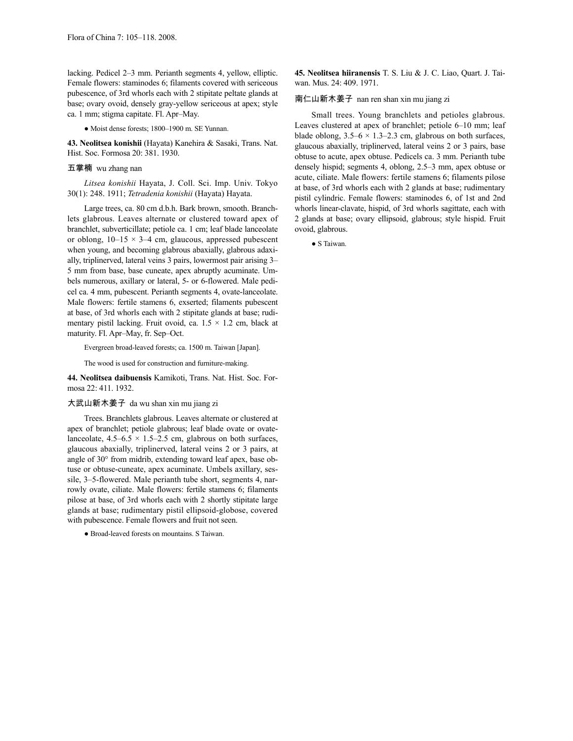lacking. Pedicel 2–3 mm. Perianth segments 4, yellow, elliptic. Female flowers: staminodes 6; filaments covered with sericeous pubescence, of 3rd whorls each with 2 stipitate peltate glands at base; ovary ovoid, densely gray-yellow sericeous at apex; style ca. 1 mm; stigma capitate. Fl. Apr–May.

● Moist dense forests; 1800–1900 m. SE Yunnan.

**43. Neolitsea konishii** (Hayata) Kanehira & Sasaki, Trans. Nat. Hist. Soc. Formosa 20: 381. 1930.

### 五掌楠 wu zhang nan

*Litsea konishii* Hayata, J. Coll. Sci. Imp. Univ. Tokyo 30(1): 248. 1911; *Tetradenia konishii* (Hayata) Hayata.

Large trees, ca. 80 cm d.b.h. Bark brown, smooth. Branchlets glabrous. Leaves alternate or clustered toward apex of branchlet, subverticillate; petiole ca. 1 cm; leaf blade lanceolate or oblong,  $10-15 \times 3-4$  cm, glaucous, appressed pubescent when young, and becoming glabrous abaxially, glabrous adaxially, triplinerved, lateral veins 3 pairs, lowermost pair arising 3– 5 mm from base, base cuneate, apex abruptly acuminate. Umbels numerous, axillary or lateral, 5- or 6-flowered. Male pedicel ca. 4 mm, pubescent. Perianth segments 4, ovate-lanceolate. Male flowers: fertile stamens 6, exserted; filaments pubescent at base, of 3rd whorls each with 2 stipitate glands at base; rudimentary pistil lacking. Fruit ovoid, ca.  $1.5 \times 1.2$  cm, black at maturity. Fl. Apr–May, fr. Sep–Oct.

Evergreen broad-leaved forests; ca. 1500 m. Taiwan [Japan].

The wood is used for construction and furniture-making.

**44. Neolitsea daibuensis** Kamikoti, Trans. Nat. Hist. Soc. Formosa 22: 411. 1932.

### 大武山新木姜子 da wu shan xin mu jiang zi

Trees. Branchlets glabrous. Leaves alternate or clustered at apex of branchlet; petiole glabrous; leaf blade ovate or ovatelanceolate,  $4.5-6.5 \times 1.5-2.5$  cm, glabrous on both surfaces, glaucous abaxially, triplinerved, lateral veins 2 or 3 pairs, at angle of 30° from midrib, extending toward leaf apex, base obtuse or obtuse-cuneate, apex acuminate. Umbels axillary, sessile, 3–5-flowered. Male perianth tube short, segments 4, narrowly ovate, ciliate. Male flowers: fertile stamens 6; filaments pilose at base, of 3rd whorls each with 2 shortly stipitate large glands at base; rudimentary pistil ellipsoid-globose, covered with pubescence. Female flowers and fruit not seen.

● Broad-leaved forests on mountains. S Taiwan.

**45. Neolitsea hiiranensis** T. S. Liu & J. C. Liao, Quart. J. Taiwan. Mus. 24: 409. 1971.

### 南仁山新木姜子 nan ren shan xin mu jiang zi

Small trees. Young branchlets and petioles glabrous. Leaves clustered at apex of branchlet; petiole 6–10 mm; leaf blade oblong,  $3.5-6 \times 1.3-2.3$  cm, glabrous on both surfaces, glaucous abaxially, triplinerved, lateral veins 2 or 3 pairs, base obtuse to acute, apex obtuse. Pedicels ca. 3 mm. Perianth tube densely hispid; segments 4, oblong, 2.5–3 mm, apex obtuse or acute, ciliate. Male flowers: fertile stamens 6; filaments pilose at base, of 3rd whorls each with 2 glands at base; rudimentary pistil cylindric. Female flowers: staminodes 6, of 1st and 2nd whorls linear-clavate, hispid, of 3rd whorls sagittate, each with 2 glands at base; ovary ellipsoid, glabrous; style hispid. Fruit ovoid, glabrous.

● S Taiwan.